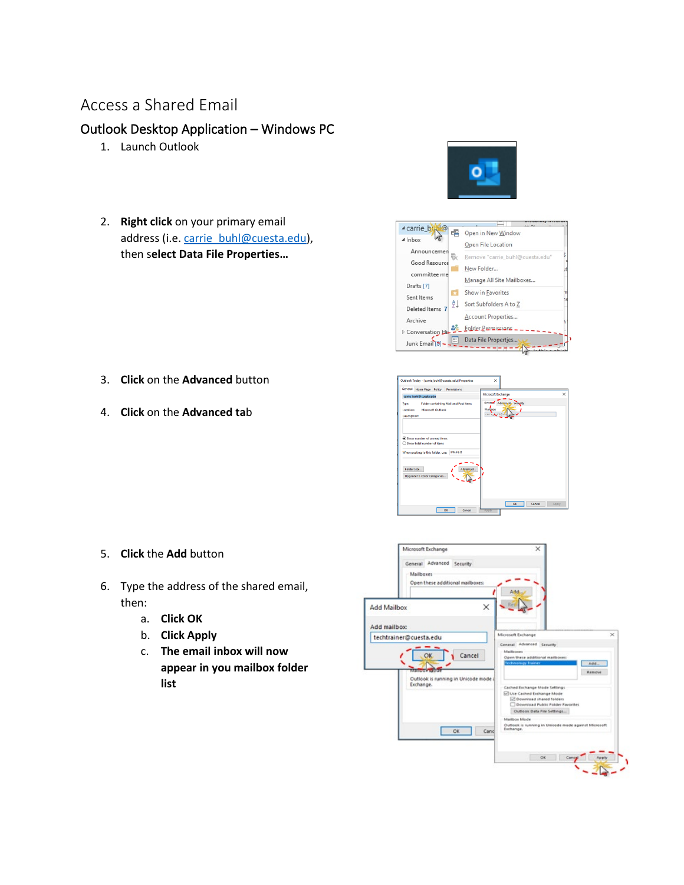## Access a Shared Email

## Outlook Desktop Application – Windows PC

- 1. Launch Outlook
- 2. **Right click** on your primary email address (i.e[. carrie\\_buhl@cuesta.edu\)](mailto:carrie_buhl@cuesta.edu), then s**elect Data File Properties…**





- 3. **Click** on the **Advanced** button
- 4. **Click** on the **Advanced ta**b



- 5. **Click** the **Add** button
- 6. Type the address of the shared email, then:
	- a. **Click OK**
	- b. **Click Apply**
	- c. **The email inbox will now appear in you mailbox folder list**

|                                    | Microsoft Exchange<br>General Advanced Security<br>Mailboxes<br>Open these additional mailboxes:                                     | $\times$<br>A <sub>1d</sub>                                                                                                                                                                                                                                                                                                                                                          |                                       |
|------------------------------------|--------------------------------------------------------------------------------------------------------------------------------------|--------------------------------------------------------------------------------------------------------------------------------------------------------------------------------------------------------------------------------------------------------------------------------------------------------------------------------------------------------------------------------------|---------------------------------------|
| <b>Add Mailbox</b><br>Add mailbox: | ×                                                                                                                                    |                                                                                                                                                                                                                                                                                                                                                                                      |                                       |
|                                    | techtrainer@cuesta.edu<br>Cancel<br>OK<br><b>Maintendo e a 1000</b><br>Outlook is running in Unicode mode<br>Exchange.<br>OK<br>Cand | Microsoft Exchange<br>General Advanced Security<br>Mailboxet<br>Open these additional mailboxes:<br><b>Technology Trainer</b><br>Cathed Exchange Mode Seltings<br>Use Cached Exchange Mode<br>C Download shared folders<br>Download Public Folder Favorites<br>Outlook Data File Settings<br>Mailbox Mode<br>Outlook is running in Unicode mode against Microsoft<br>Exchange.<br>OK | ×<br>AdA<br>Remove<br>Cancel<br>Apply |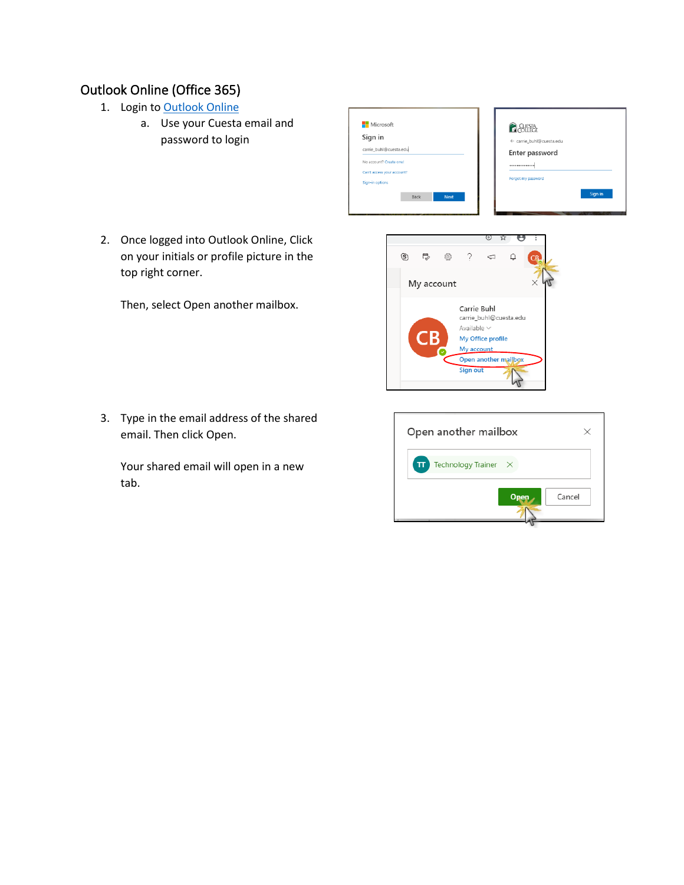## Outlook Online (Office 365)

- 1. Login to [Outlook Online](http://outlook.office365.com/)
	- a. Use your Cuesta email and password to login
- Microsoft *<u>Receive</u>* Sign in ← carrie\_buhl@cuesta.edu carrie\_buhl@cuesta.edu Enter password No account? Create one! ............ Can't access your account Forgot my password Sign-in options Sign in Back **Next**
- 2. Once logged into Outlook Online, Click on your initials or profile picture in the top right corner.

Then, select Open another mailbox.

3. Type in the email address of the shared email. Then click Open.

Your shared email will open in a new tab.



л

| Open another mailbox      |   |        |
|---------------------------|---|--------|
| Technology Trainer X<br>π |   |        |
|                           | ۵ | Cancel |
|                           |   |        |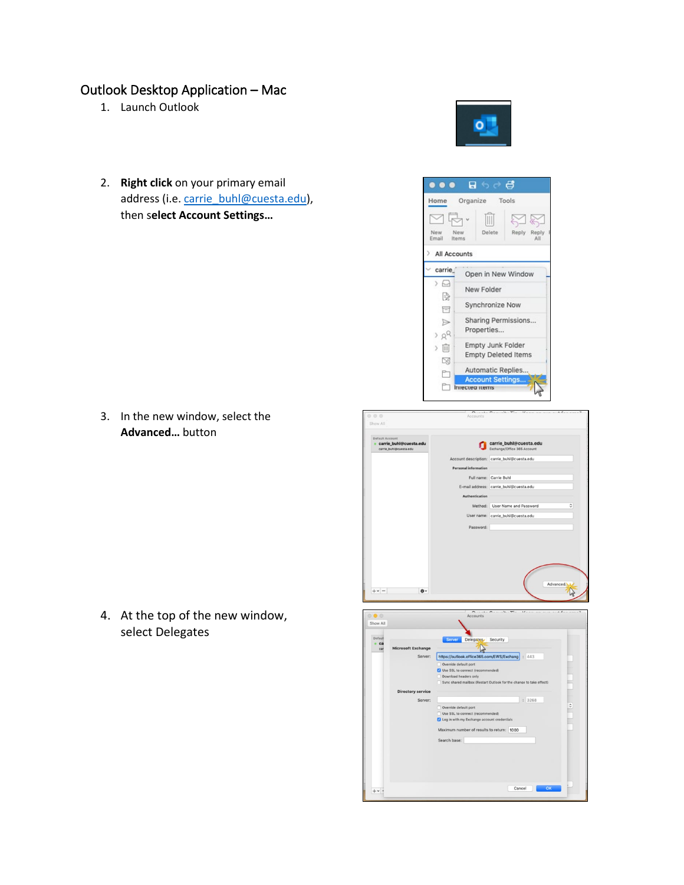## Outlook Desktop Application – Mac

- 1. Launch Outlook
- 2. **Right click** on your primary email address (i.e[. carrie\\_buhl@cuesta.edu\)](mailto:carrie_buhl@cuesta.edu), then s**elect Account Settings…**

3. In the new window, select the **Advanced…** button

4. At the top of the new window, select Delegates



Override default port dmum number of results to return: 1000

Search base:

 $: 3268$ 

Cancel Cas



 $B$   $6$   $C$   $B$ 

Organize Tools

 $\overline{\mathbb{H}}$ 

Delete

New Folder

Properties...

Synchronize Now

Empty Junk Folder

Automatic Replies..

**Account Settings.** 

**Empty Deleted Items** 

Open in New Window

Sharing Permissions...

XX Reply Reply

 $\bullet\bullet\bullet$ 

□吊·

All Accounts carrie

 $\rightarrow$   $\Box$ 

 $\mathbb{R}^{\mathbb{D}}$ 

目

 $\triangleright$ 

 $> 8^{\circ}$ 

〉面

 $\boxtimes$ 

D,

Home

New<br>Email New<br>Items